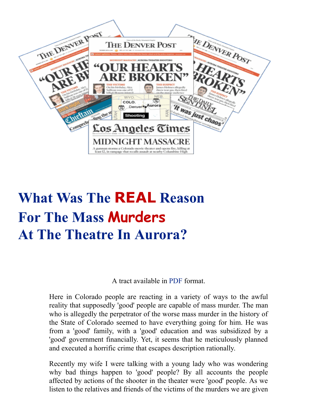

## **What Was The REAL Reason For The Mass Murders At The Theatre In Aurora?**

A tract available in [PDF](http://opbm.org/colorado-murders.pdf) format.

Here in Colorado people are reacting in a variety of ways to the awful reality that supposedly 'good' people are capable of mass murder. The man who is allegedly the perpetrator of the worse mass murder in the history of the State of Colorado seemed to have everything going for him. He was from a 'good' family, with a 'good' education and was subsidized by a 'good' government financially. Yet, it seems that he meticulously planned and executed a horrific crime that escapes description rationally.

Recently my wife I were talking with a young lady who was wondering why bad things happen to 'good' people? By all accounts the people affected by actions of the shooter in the theater were 'good' people. As we listen to the relatives and friends of the victims of the murders we are given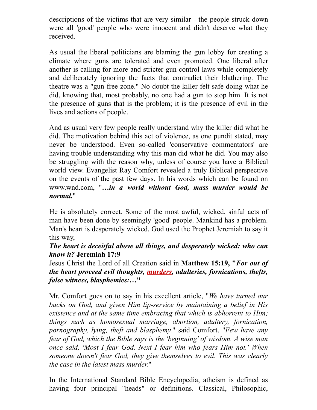descriptions of the victims that are very similar - the people struck down were all 'good' people who were innocent and didn't deserve what they received.

As usual the liberal politicians are blaming the gun lobby for creating a climate where guns are tolerated and even promoted. One liberal after another is calling for more and stricter gun control laws while completely and deliberately ignoring the facts that contradict their blathering. The theatre was a "gun-free zone." No doubt the killer felt safe doing what he did, knowing that, most probably, no one had a gun to stop him. It is not the presence of guns that is the problem; it is the presence of evil in the lives and actions of people.

And as usual very few people really understand why the killer did what he did. The motivation behind this act of violence, as one pundit stated, may never be understood. Even so-called 'conservative commentators' are having trouble understanding why this man did what he did. You may also be struggling with the reason why, unless of course you have a Biblical world view. Evangelist Ray Comfort revealed a truly Biblical perspective on the events of the past few days. In his words which can be found on www.wnd.com, "*…in a world without God, mass murder would be normal.*"

He is absolutely correct. Some of the most awful, wicked, sinful acts of man have been done by seemingly 'good' people. Mankind has a problem. Man's heart is desperately wicked. God used the Prophet Jeremiah to say it this way,

## *The heart is deceitful above all things, and desperately wicked: who can know it?* **Jeremiah 17:9**

Jesus Christ the Lord of all Creation said in **Matthew 15:19, "***For out of the heart proceed evil thoughts, murders, adulteries, fornications, thefts, false witness, blasphemies:…***"**

Mr. Comfort goes on to say in his excellent article, "*We have turned our backs on God, and given Him lip-service by maintaining a belief in His existence and at the same time embracing that which is abhorrent to Him; things such as homosexual marriage, abortion, adultery, fornication, pornography, lying, theft and blasphemy.*" said Comfort. "*Few have any fear of God, which the Bible says is the 'beginning' of wisdom. A wise man once said, 'Most I fear God. Next I fear him who fears Him not.' When someone doesn't fear God, they give themselves to evil. This was clearly the case in the latest mass murder.*"

In the International Standard Bible Encyclopedia, atheism is defined as having four principal "heads" or definitions. Classical, Philosophic,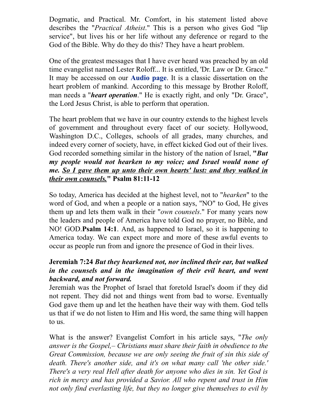Dogmatic, and Practical. Mr. Comfort, in his statement listed above describes the "*Practical Atheist*." This is a person who gives God "lip service", but lives his or her life without any deference or regard to the God of the Bible. Why do they do this? They have a heart problem.

One of the greatest messages that I have ever heard was preached by an old time evangelist named Lester Roloff... It is entitled, 'Dr. Law or Dr. Grace." It may be accessed on our **[Audio](http://opbm.org/audio.html) page**. It is a classic dissertation on the heart problem of mankind. According to this message by Brother Roloff, man needs a "*heart operation*." He is exactly right, and only "Dr. Grace", the Lord Jesus Christ, is able to perform that operation.

The heart problem that we have in our country extends to the highest levels of government and throughout every facet of our society. Hollywood, Washington D.C., Colleges, schools of all grades, many churches, and indeed every corner of society, have, in effect kicked God out of their lives. God recorded something similar in the history of the nation of Israel, **"***But my people would not hearken to my voice; and Israel would none of me. So I gave them up unto their own hearts' lust: and they walked in their own counsels.***" Psalm 81:11-12**

So today, America has decided at the highest level, not to "*hearken*" to the word of God, and when a people or a nation says, "NO" to God, He gives them up and lets them walk in their "*own counsels*." For many years now the leaders and people of America have told God no prayer, no Bible, and NO! GOD.**Psalm 14:1**. And, as happened to Israel, so it is happening to America today. We can expect more and more of these awful events to occur as people run from and ignore the presence of God in their lives.

## **Jeremiah 7:24** *But they hearkened not, nor inclined their ear, but walked in the counsels and in the imagination of their evil heart, and went backward, and not forward.*

Jeremiah was the Prophet of Israel that foretold Israel's doom if they did not repent. They did not and things went from bad to worse. Eventually God gave them up and let the heathen have their way with them. God tells us that if we do not listen to Him and His word, the same thing will happen to us.

What is the answer? Evangelist Comfort in his article says, "*The only answer is the Gospel,– Christians must share their faith in obedience to the Great Commission, because we are only seeing the fruit of sin this side of death. There's another side, and it's on what many call 'the other side.' There's a very real Hell after death for anyone who dies in sin. Yet God is rich in mercy and has provided a Savior. All who repent and trust in Him not only find everlasting life, but they no longer give themselves to evil by*